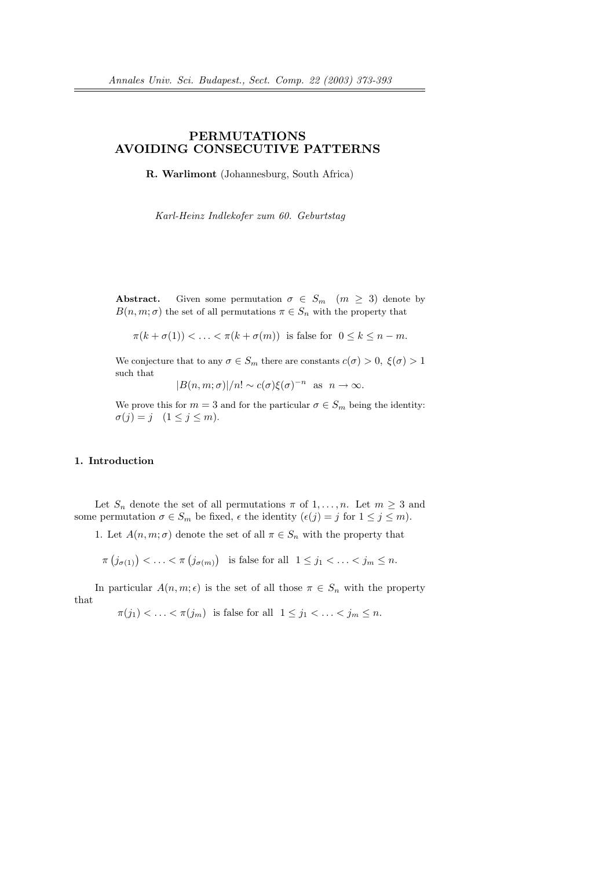## PERMUTATIONS AVOIDING CONSECUTIVE PATTERNS

R. Warlimont (Johannesburg, South Africa)

Karl-Heinz Indlekofer zum 60. Geburtstag

**Abstract.** Given some permutation  $\sigma \in S_m$  ( $m \geq 3$ ) denote by  $B(n, m; \sigma)$  the set of all permutations  $\pi \in S_n$  with the property that

$$
\pi(k+\sigma(1)) < \ldots < \pi(k+\sigma(m)) \text{ is false for } 0 \le k \le n-m.
$$

We conjecture that to any  $\sigma \in S_m$  there are constants  $c(\sigma) > 0$ ,  $\xi(\sigma) > 1$ such that

 $|B(n, m; \sigma)|/n! \sim c(\sigma) \xi(\sigma)^{-n}$  as  $n \to \infty$ .

We prove this for  $m = 3$  and for the particular  $\sigma \in S_m$  being the identity:  $\sigma(j) = j \quad (1 \leq j \leq m).$ 

### 1. Introduction

Let  $S_n$  denote the set of all permutations  $\pi$  of  $1, \ldots, n$ . Let  $m \geq 3$  and some permutation  $\sigma \in S_m$  be fixed,  $\epsilon$  the identity  $(\epsilon(j) = j \text{ for } 1 \leq j \leq m)$ .

1. Let  $A(n, m; \sigma)$  denote the set of all  $\pi \in S_n$  with the property that

$$
\pi(j_{\sigma(1)}) < \ldots < \pi(j_{\sigma(m)}) \quad \text{is false for all} \quad 1 \leq j_1 < \ldots < j_m \leq n.
$$

In particular  $A(n, m; \epsilon)$  is the set of all those  $\pi \in S_n$  with the property that

 $\pi(j_1) < \ldots < \pi(j_m)$  is false for all  $1 \leq j_1 < \ldots < j_m \leq n$ .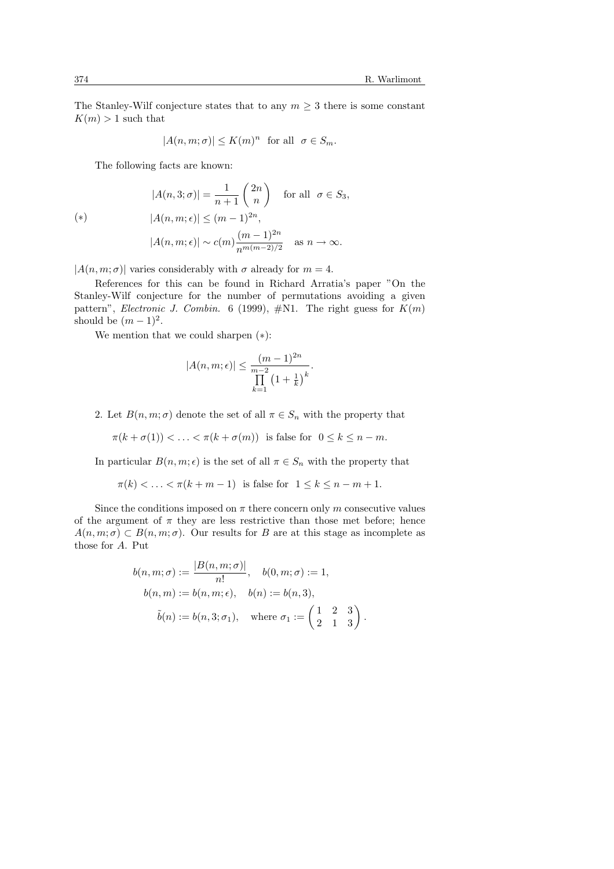The Stanley-Wilf conjecture states that to any  $m \geq 3$  there is some constant  $K(m) > 1$  such that

$$
|A(n, m; \sigma)| \le K(m)^n \text{ for all } \sigma \in S_m.
$$

The following facts are known:

$$
|A(n,3;\sigma)| = \frac{1}{n+1} \binom{2n}{n} \quad \text{for all} \quad \sigma \in S_3,
$$
  
\n
$$
|A(n,m;\epsilon)| \le (m-1)^{2n},
$$
  
\n
$$
|A(n,m;\epsilon)| \sim c(m) \frac{(m-1)^{2n}}{n^{m(m-2)/2}} \quad \text{as} \quad n \to \infty.
$$

 $|A(n, m; \sigma)|$  varies considerably with  $\sigma$  already for  $m = 4$ .

References for this can be found in Richard Arratia's paper "On the Stanley-Wilf conjecture for the number of permutations avoiding a given pattern", Electronic J. Combin. 6 (1999),  $\#$ N1. The right guess for  $K(m)$ should be  $(m-1)^2$ .

We mention that we could sharpen (∗):

$$
|A(n, m; \epsilon)| \leq \frac{(m-1)^{2n}}{\prod_{k=1}^{m-2} \left(1 + \frac{1}{k}\right)^k}.
$$

2. Let  $B(n, m; \sigma)$  denote the set of all  $\pi \in S_n$  with the property that

$$
\pi(k+\sigma(1)) < \ldots < \pi(k+\sigma(m)) \quad \text{is false for} \quad 0 \le k \le n-m.
$$

In particular  $B(n, m; \epsilon)$  is the set of all  $\pi \in S_n$  with the property that

$$
\pi(k) < \ldots < \pi(k+m-1) \quad \text{is false for} \quad 1 \le k \le n-m+1.
$$

Since the conditions imposed on  $\pi$  there concern only m consecutive values of the argument of  $\pi$  they are less restrictive than those met before; hence  $A(n, m; \sigma) \subset B(n, m; \sigma)$ . Our results for B are at this stage as incomplete as those for A. Put

$$
b(n, m; \sigma) := \frac{|B(n, m; \sigma)|}{n!}, \quad b(0, m; \sigma) := 1,
$$
  
\n
$$
b(n, m) := b(n, m; \epsilon), \quad b(n) := b(n, 3),
$$
  
\n
$$
\tilde{b}(n) := b(n, 3; \sigma_1), \quad \text{where } \sigma_1 := \begin{pmatrix} 1 & 2 & 3 \\ 2 & 1 & 3 \end{pmatrix}.
$$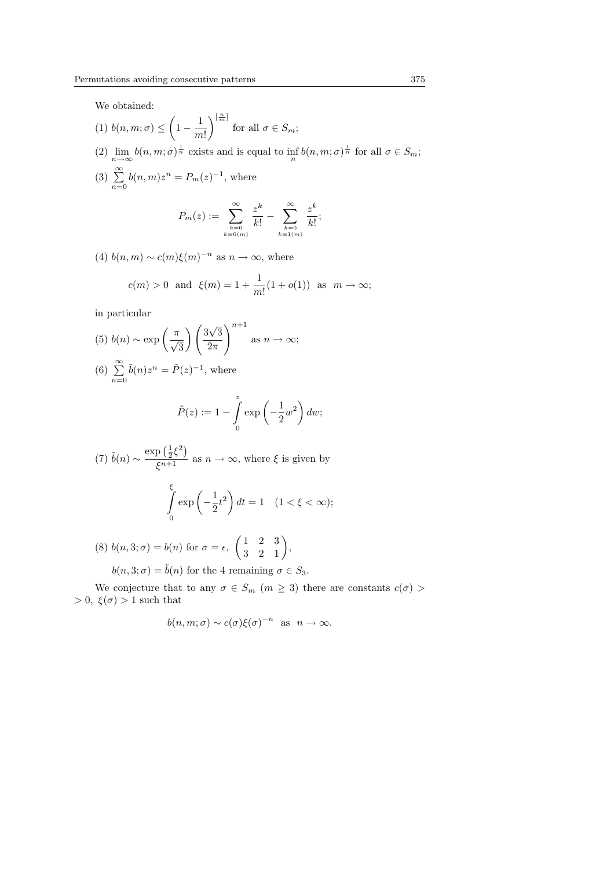We obtained:

- $(1)$  b $(n, m; \sigma) \leq$  $\overline{a}$  $1 - \frac{1}{2}$  $m!$  $\sqrt{\frac{n}{m}}$ for all  $\sigma \in S_m$ ; (2)  $\lim_{n\to\infty} b(n,m;\sigma)^{\frac{1}{n}}$  exists and is equal to  $\inf_{n} b(n,m;\sigma)^{\frac{1}{n}}$  for all  $\sigma \in S_m$ ;
- $(3) \sum_{n=1}^{\infty}$  $n=0$  $b(n, m)z^n = P_m(z)^{-1}$ , where

$$
P_m(z) := \sum_{\substack{k=0 \ k \equiv 0(m)}}^{\infty} \frac{z^k}{k!} - \sum_{\substack{k=0 \ k \equiv 1(m)}}^{\infty} \frac{z^k}{k!};
$$

(4)  $b(n, m) \sim c(m)\xi(m)^{-n}$  as  $n \to \infty$ , where  $c(m) > 0$  and  $\xi(m) = 1 + \frac{1}{m!} (1 + o(1))$  as  $m \to \infty$ ;

in particular

(5) 
$$
b(n) \sim \exp\left(\frac{\pi}{\sqrt{3}}\right) \left(\frac{3\sqrt{3}}{2\pi}\right)^{n+1}
$$
 as  $n \to \infty$ ;

(6) 
$$
\sum_{n=0}^{\infty} \tilde{b}(n) z^n = \tilde{P}(z)^{-1}
$$
, where

$$
\tilde{P}(z) := 1 - \int_{0}^{z} \exp\left(-\frac{1}{2}w^2\right) dw;
$$

(7)  $\tilde{b}(n) \sim \frac{\exp\left(\frac{1}{2}\xi^2\right)}{\xi^{n+1}}$  $\frac{f''(2S')}{\xi^{n+1}}$  as  $n \to \infty$ , where  $\xi$  is given by

$$
\int_{0}^{\xi} \exp\left(-\frac{1}{2}t^2\right) dt = 1 \quad (1 < \xi < \infty);
$$

(8)  $b(n, 3; \sigma) = b(n)$  for  $\sigma = \epsilon$ ,  $\begin{pmatrix} 1 & 2 & 3 \\ 2 & 3 & 1 \end{pmatrix}$  $\begin{pmatrix} 1 & 2 & 3 \\ 3 & 2 & 1 \end{pmatrix}$ 

 $b(n, 3; \sigma) = \tilde{b}(n)$  for the 4 remaining  $\sigma \in S_3$ .

We conjecture that to any  $\sigma \in S_m$   $(m \geq 3)$  there are constants  $c(\sigma)$  $> 0, \xi(\sigma) > 1$  such that

$$
b(n, m; \sigma) \sim c(\sigma) \xi(\sigma)^{-n}
$$
 as  $n \to \infty$ .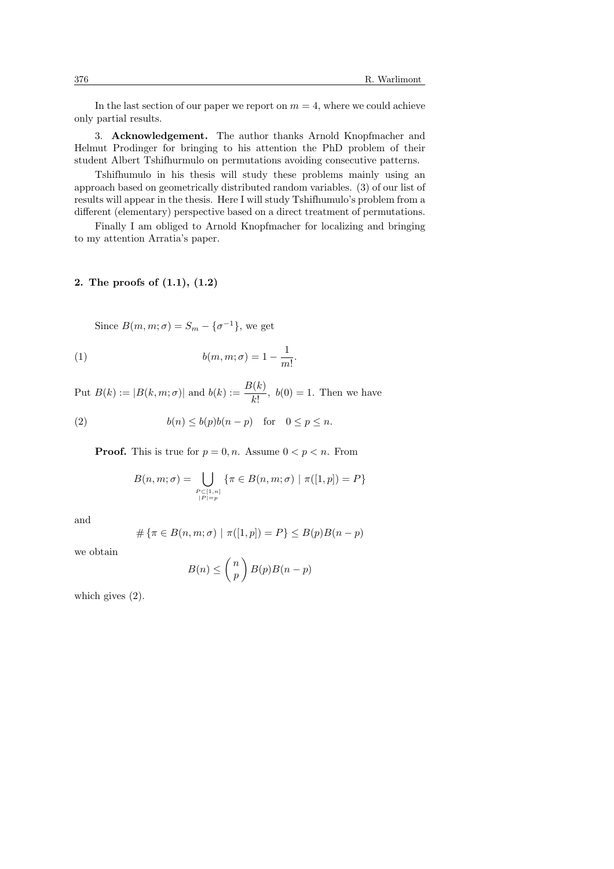In the last section of our paper we report on  $m = 4$ , where we could achieve only partial results.

3. Acknowledgement. The author thanks Arnold Knopfmacher and Helmut Prodinger for bringing to his attention the PhD problem of their student Albert Tshifhurmulo on permutations avoiding consecutive patterns.

Tshifhumulo in his thesis will study these problems mainly using an approach based on geometrically distributed random variables. (3) of our list of results will appear in the thesis. Here I will study Tshifhumulo's problem from a different (elementary) perspective based on a direct treatment of permutations.

Finally I am obliged to Arnold Knopfmacher for localizing and bringing to my attention Arratia's paper.

## 2. The proofs of (1.1), (1.2)

Since  $B(m, m; \sigma) = S_m - \{\sigma^{-1}\}\text{, we get}$ (1)  $b(m, m; \sigma) = 1 - \frac{1}{m}$  $\frac{1}{m!}$ .

Put 
$$
B(k) := |B(k, m; \sigma)|
$$
 and  $b(k) := \frac{B(k)}{k!}$ ,  $b(0) = 1$ . Then we have

(2) 
$$
b(n) \le b(p)b(n-p) \text{ for } 0 \le p \le n.
$$

**Proof.** This is true for  $p = 0, n$ . Assume  $0 < p < n$ . From

$$
B(n, m; \sigma) = \bigcup_{\substack{P \subset [1, n] \\ |P| = p}} \{ \pi \in B(n, m; \sigma) \mid \pi([1, p]) = P \}
$$

and

$$
\#\left\{\pi\in B(n,m;\sigma)\ |\ \pi([1,p])=P\right\}\leq B(p)B(n-p)
$$

we obtain

$$
B(n) \leq {n \choose p} B(p)B(n-p)
$$

which gives (2).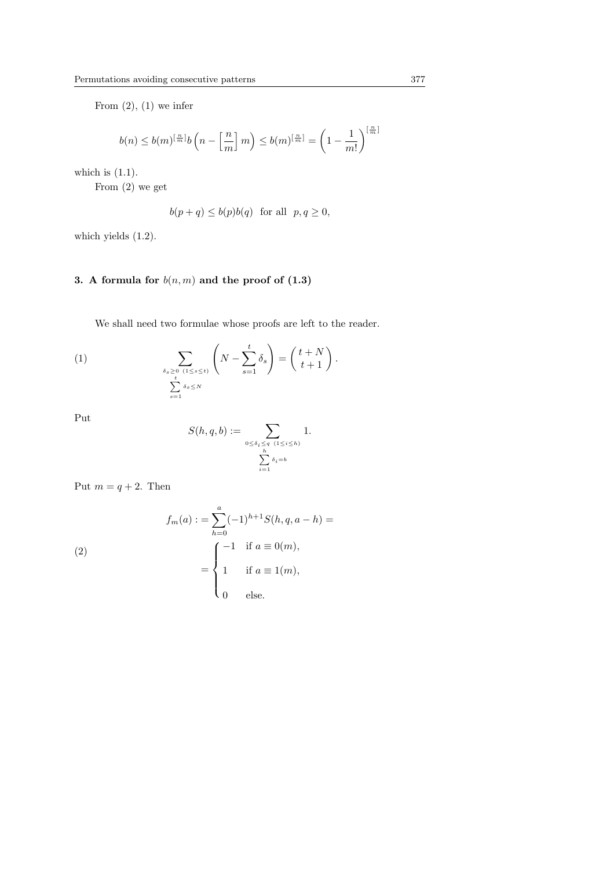From  $(2)$ ,  $(1)$  we infer

$$
b(n) \le b(m)^{\left[\frac{n}{m}\right]}b\left(n-\left[\frac{n}{m}\right]m\right) \le b(m)^{\left[\frac{n}{m}\right]}=\left(1-\frac{1}{m!}\right)^{\left[\frac{n}{m}\right]}
$$

which is  $(1.1)$ .

From (2) we get

$$
b(p+q) \le b(p)b(q) \text{ for all } p, q \ge 0,
$$

which yields  $(1.2)$ .

# 3. A formula for  $b(n, m)$  and the proof of  $(1.3)$

We shall need two formulae whose proofs are left to the reader.

(1) 
$$
\sum_{\delta_s \geq 0 \ (1 \leq s \leq t) \atop \sum_{s=1}^t \delta_s \leq N} \left( N - \sum_{s=1}^t \delta_s \right) = \binom{t+N}{t+1}.
$$

Put

$$
S(h,q,b) := \sum_{\substack{0 \le \delta_i \le q \ (1 \le i \le h) \\ h \\ i=1}} 1.
$$

Put  $m = q + 2$ . Then

(2)  
\n
$$
f_m(a) := \sum_{h=0}^{a} (-1)^{h+1} S(h, q, a - h) =
$$
\n
$$
= \begin{cases}\n-1 & \text{if } a \equiv 0(m), \\
1 & \text{if } a \equiv 1(m), \\
0 & \text{else.} \n\end{cases}
$$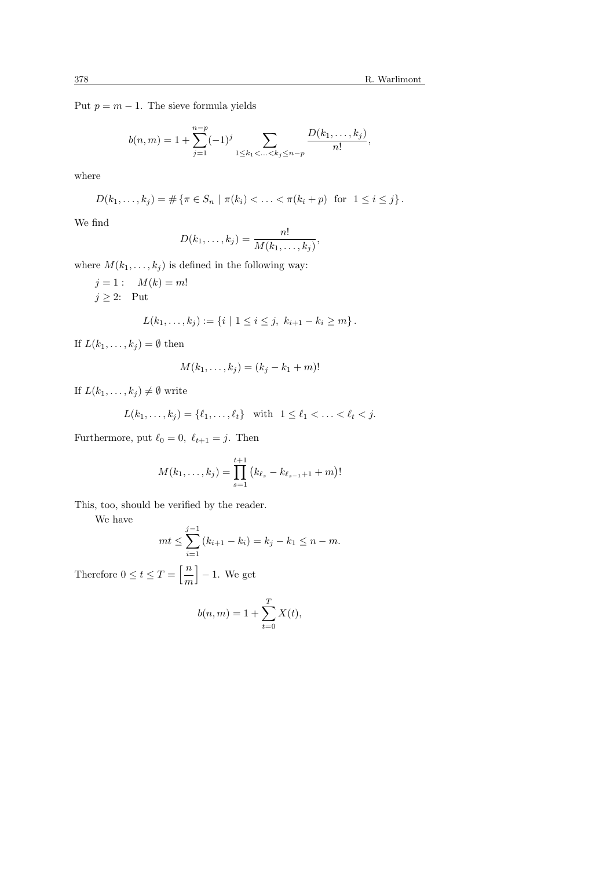Put  $p = m - 1$ . The sieve formula yields

$$
b(n,m) = 1 + \sum_{j=1}^{n-p} (-1)^j \sum_{1 \le k_1 < \ldots < k_j \le n-p} \frac{D(k_1, \ldots, k_j)}{n!},
$$

where

$$
D(k_1, ..., k_j) = # \{ \pi \in S_n \mid \pi(k_i) < ... < \pi(k_i + p) \text{ for } 1 \leq i \leq j \}.
$$

We find

$$
D(k_1,\ldots,k_j)=\frac{n!}{M(k_1,\ldots,k_j)},
$$

where  $M(k_1, \ldots, k_j)$  is defined in the following way:

$$
j = 1: M(k) = m!
$$
  
\n
$$
j \ge 2: Put
$$
  
\n
$$
L(k_1, ..., k_j) := \{i \mid 1 \le i \le j, k_{i+1} - k_i \ge m\}.
$$

If  $L(k_1, \ldots, k_j) = \emptyset$  then

$$
M(k_1,\ldots,k_j)=(k_j-k_1+m)!
$$

If  $L(k_1, \ldots, k_j) \neq \emptyset$  write

$$
L(k_1, ..., k_j) = \{\ell_1, ..., \ell_t\} \text{ with } 1 \leq \ell_1 < ... < \ell_t < j.
$$

Furthermore, put  $\ell_0 = 0, \ \ell_{t+1} = j$ . Then

$$
M(k_1,\ldots,k_j)=\prod_{s=1}^{t+1} (k_{\ell_s}-k_{\ell_{s-1}+1}+m)!
$$

This, too, should be verified by the reader.

We have

$$
mt \le \sum_{i=1}^{j-1} (k_{i+1} - k_i) = k_j - k_1 \le n - m.
$$

Therefore  $0 \le t \le T = \left\lceil \frac{n}{\cdot} \right\rceil$ m i − 1. We get

$$
b(n, m) = 1 + \sum_{t=0}^{T} X(t),
$$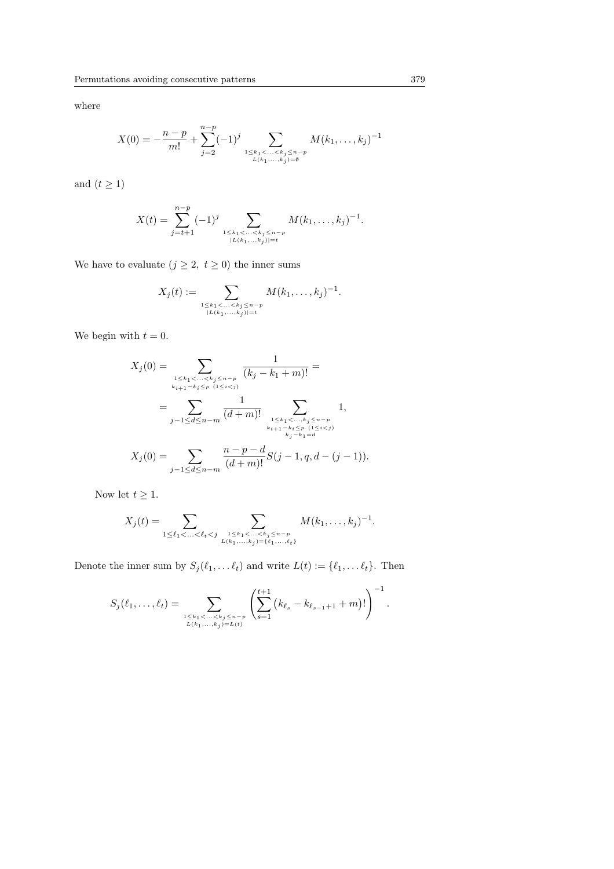where

$$
X(0) = -\frac{n-p}{m!} + \sum_{j=2}^{n-p} (-1)^j \sum_{\substack{1 \le k_1 < \ldots < k_j \le n-p \\ L(k_1,\ldots,k_j) = \emptyset}} M(k_1,\ldots,k_j)^{-1}
$$

and  $(t \geq 1)$ 

$$
X(t) = \sum_{j=t+1}^{n-p} (-1)^j \sum_{\substack{1 \leq k_1 < \ldots < k_j \leq n-p \\ |L(k_1,\ldots,k_j)| = t}} M(k_1,\ldots,k_j)^{-1}.
$$

We have to evaluate  $(j \geq 2, t \geq 0)$  the inner sums

$$
X_j(t) := \sum_{\substack{1 \leq k_1 < \ldots < k_j \leq n-p \\ |L(k_1,\ldots,k_j)| = t}} M(k_1,\ldots,k_j)^{-1}.
$$

We begin with  $t = 0$ .

$$
X_j(0) = \sum_{\substack{1 \le k_1 < \ldots < k_j \le n-p \\ k_{i+1} - k_i \le p \ (1 \le i < j)}} \frac{1}{(k_j - k_1 + m)!} =
$$
\n
$$
= \sum_{j-1 \le d \le n-m} \frac{1}{(d+m)!} \sum_{\substack{1 \le k_1 < \ldots, k_j \le n-p \\ k_{i+1} - k_i \le p \ (1 \le i < j)}} 1,
$$
\n
$$
X_j(0) = \sum_{j-1 \le d \le n-m} \frac{n-p-d}{(d+m)!} S(j-1, q, d-(j-1)).
$$

Now let  $t \geq 1$ .

$$
X_j(t) = \sum_{1 \leq \ell_1 < \ldots < \ell_t < j} \sum_{\substack{1 \leq k_1 < \ldots < k_j \leq n-p \\ L(k_1, \ldots, k_j) = \{\ell_1, \ldots, \ell_t\}}} M(k_1, \ldots, k_j)^{-1}.
$$

Denote the inner sum by  $S_j(\ell_1, \ldots \ell_t)$  and write  $L(t) := \{\ell_1, \ldots \ell_t\}$ . Then

$$
S_j(\ell_1,\ldots,\ell_t) = \sum_{\substack{1 \leq k_1 < \ldots < k_j \leq n-p \\ L(k_1,\ldots,k_j) = L(t)}} \left( \sum_{s=1}^{t+1} \left( k_{\ell_s} - k_{\ell_{s-1}+1} + m \right)! \right)^{-1}.
$$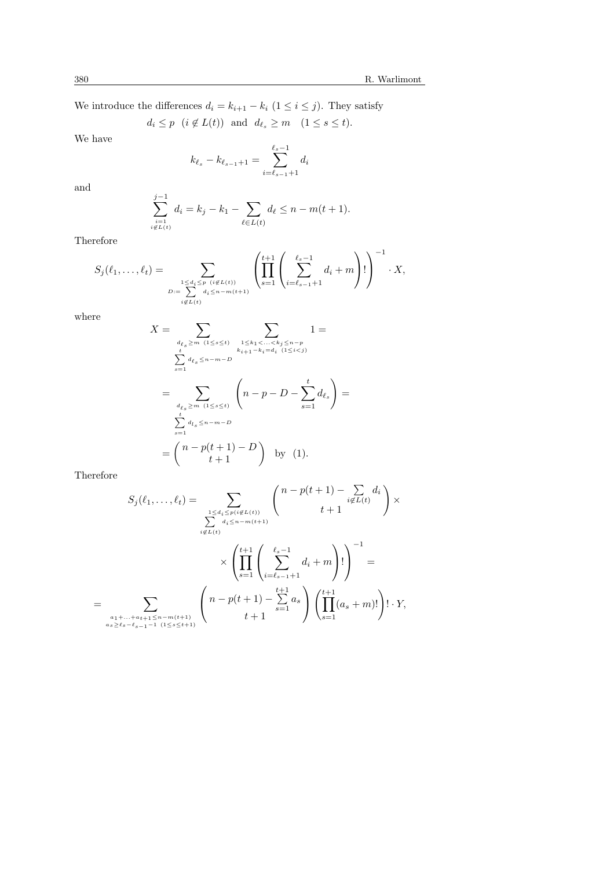We introduce the differences  $d_i = k_{i+1} - k_i$  ( $1 \le i \le j$ ). They satisfy

 $d_i \leq p \ \ (i \notin L(t))$  and  $d_{\ell_s} \geq m \ \ (1 \leq s \leq t).$ 

We have

$$
k_{\ell_s} - k_{\ell_{s-1}+1} = \sum_{i=\ell_{s-1}+1}^{\ell_s-1} d_i
$$

and

$$
\sum_{\substack{i=1 \ i \notin L(t)}}^{j-1} d_i = k_j - k_1 - \sum_{\ell \in L(t)} d_\ell \le n - m(t+1).
$$

Therefore

$$
S_j(\ell_1, \ldots, \ell_t) = \sum_{\substack{1 \leq d_i \leq p \ (i \notin L(t)) \\ D := \sum_{i \notin L(t)}}} \left( \prod_{s=1}^{t+1} \left( \sum_{i=\ell_{s-1}+1}^{\ell_s-1} d_i + m \right)! \right)^{-1} \cdot X,
$$

where

$$
X = \sum_{\substack{d_{\ell_s} \ge m \ (1 \le s \le t)}} \sum_{\substack{1 \le k_1 < \ldots < k_j \le n-p \\ k_{i+1} - k_i = d_i \ (1 \le i < j)}} 1 =
$$
\n
$$
= \sum_{\substack{d_{\ell_s} \ge m \ (1 \le s \le t)}} \binom{n - p - D - \sum_{s=1}^t d_{\ell_s}}{1 - p - D - \sum_{s=1}^t d_{\ell_s}} =
$$
\n
$$
\sum_{s=1}^t d_{l_s} \le n - m - D
$$
\n
$$
= \binom{n - p(t+1) - D}{t+1} \text{ by (1)}.
$$

Therefore

=

$$
S_j(\ell_1, \ldots, \ell_t) = \sum_{\substack{1 \le d_i \le p(i \notin L(t)) \\ i \notin L(t)}} \binom{n - p(t + 1) - \sum_{i \notin L(t)} d_i}{t + 1} \times \left( \prod_{s=1}^{t+1} \left( \sum_{i=\ell_{s-1}+1}^{\ell_{s-1}} d_i + m \right)! \right)^{-1} =
$$
  

$$
\sum_{\substack{a_1 + \ldots + a_{t+1} \le n - m(t+1) \\ a_s \ge \ell_s - \ell_{s-1} - 1 \ (1 \le s \le t+1)}} \binom{n - p(t+1) - \sum_{s=1}^{t+1} a_s}{t + 1} \left( \prod_{s=1}^{t+1} (a_s + m)! \right)! \cdot Y,
$$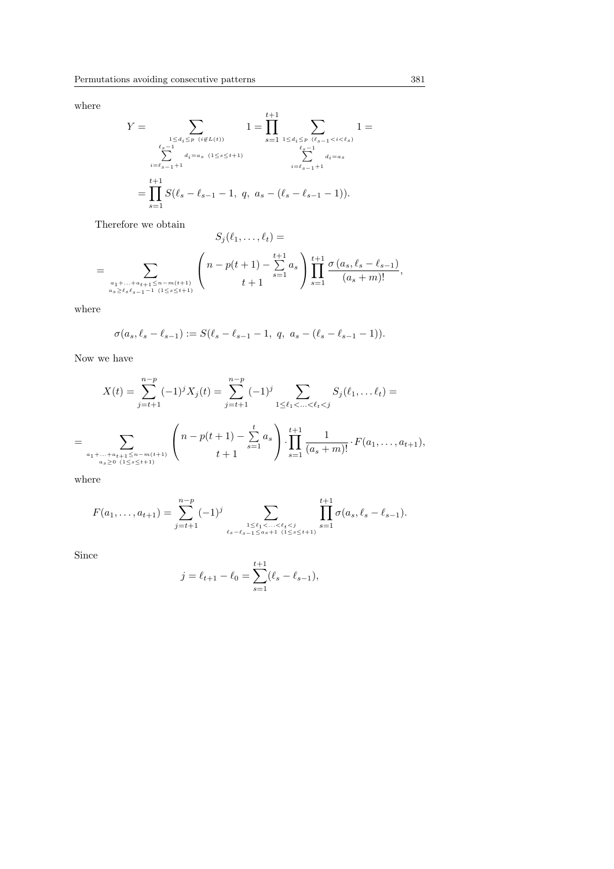where

$$
Y = \sum_{\substack{1 \le d_i \le p \ (i \notin L(t)) \\ \sum_{i=\ell_{s-1}+1}^{1 \le d_i \le p} d_i = a_s \ (1 \le s \le t+1)}} 1 = \prod_{s=1}^{t+1} \sum_{\substack{1 \le d_i \le p \ (l_{s-1} < i < \ell_s) \\ \sum_{i=\ell_{s-1}+1}^{1 \le d_i \le a_s} d_i = a_s}} 1 = \prod_{i=\ell_{s-1}+1}^{t+1} S(\ell_s - \ell_{s-1} - 1, q, a_s - (\ell_s - \ell_{s-1} - 1)).
$$

Therefore we obtain

$$
S_j(\ell_1, \ldots, \ell_t) =
$$
  
= 
$$
\sum_{\substack{a_1 + \ldots + a_{t+1} \le n-m(t+1) \\ a_s \ge \ell_s \ell_{s-1} - 1 \ (1 \le s \le t+1)}} \left( n - p(t+1) - \sum_{s=1}^{t+1} a_s \right) \prod_{s=1}^{t+1} \frac{\sigma(a_s, \ell_s - \ell_{s-1})}{(a_s + m)!},
$$

where

$$
\sigma(a_s, \ell_s - \ell_{s-1}) := S(\ell_s - \ell_{s-1} - 1, q, a_s - (\ell_s - \ell_{s-1} - 1)).
$$

Now we have

$$
X(t) = \sum_{j=t+1}^{n-p} (-1)^j X_j(t) = \sum_{j=t+1}^{n-p} (-1)^j \sum_{1 \le \ell_1 < \ldots < \ell_t < j} S_j(\ell_1, \ldots \ell_t) =
$$
\n
$$
= \sum_{\substack{a_1 + \ldots + a_{t+1} \le n-m(t+1) \\ a_s \ge 0 \ (1 \le s \le t+1)}} \left( n - p(t+1) - \sum_{s=1}^t a_s \right) \cdot \prod_{s=1}^{t+1} \frac{1}{(a_s + m)!} \cdot F(a_1, \ldots, a_{t+1}),
$$

where

$$
F(a_1,\ldots,a_{t+1}) = \sum_{j=t+1}^{n-p} (-1)^j \sum_{\substack{1 \leq \ell_1 < \ldots < \ell_t < j \\ \ell_s - \ell_{s-1} \leq a_{s+1} \ (1 \leq s \leq t+1)}} \prod_{s=1}^{t+1} \sigma(a_s, \ell_s - \ell_{s-1}).
$$

Since

$$
j = \ell_{t+1} - \ell_0 = \sum_{s=1}^{t+1} (\ell_s - \ell_{s-1}),
$$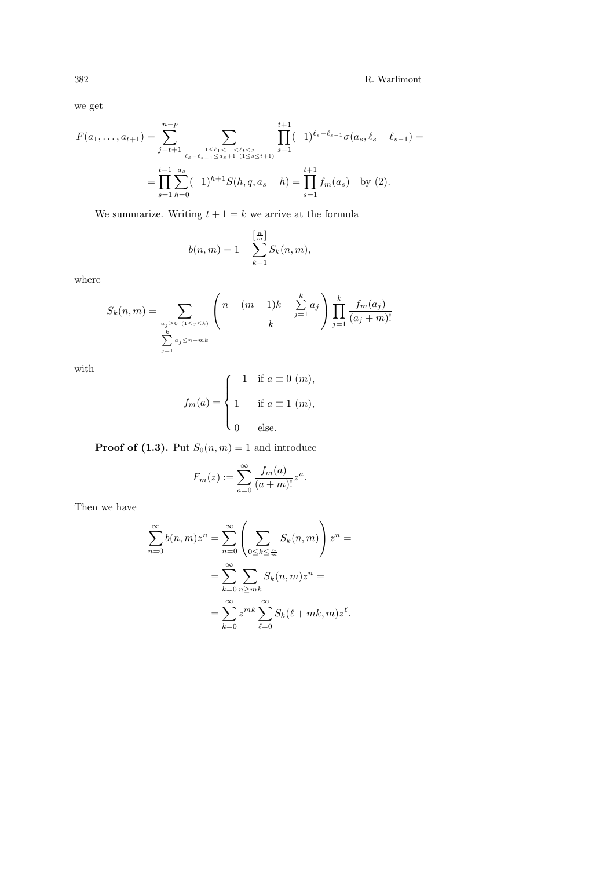we get

$$
F(a_1, \ldots, a_{t+1}) = \sum_{j=t+1}^{n-p} \sum_{\substack{\ell_s - \ell_s \leq \ell_1 < \ldots < \ell_t < j \\ \ell_{s-t-1} \leq a_s + 1 \ (1 \leq s \leq t+1)}} \prod_{s=1}^{t+1} (-1)^{\ell_s - \ell_{s-1}} \sigma(a_s, \ell_s - \ell_{s-1}) =
$$
\n
$$
= \prod_{s=1}^{t+1} \sum_{h=0}^{a_s} (-1)^{h+1} S(h, q, a_s - h) = \prod_{s=1}^{t+1} f_m(a_s) \quad \text{by (2)}.
$$

We summarize. Writing  $t + 1 = k$  we arrive at the formula

$$
b(n, m) = 1 + \sum_{k=1}^{\left[\frac{m}{m}\right]} S_k(n, m),
$$

where

$$
S_k(n,m) = \sum_{\substack{a_j \ge 0 \ (1 \le j \le k)}} \left( n - (m-1)k - \sum_{j=1}^k a_j \right) \prod_{j=1}^k \frac{f_m(a_j)}{(a_j + m)!}
$$
  

$$
\sum_{j=1}^k a_j \le n - mk
$$

with

$$
f_m(a) = \begin{cases} -1 & \text{if } a \equiv 0 \ (m), \\ 1 & \text{if } a \equiv 1 \ (m), \\ 0 & \text{else.} \end{cases}
$$

**Proof of (1.3).** Put  $S_0(n,m) = 1$  and introduce

$$
F_m(z) := \sum_{a=0}^{\infty} \frac{f_m(a)}{(a+m)!} z^a.
$$

Then we have

$$
\sum_{n=0}^{\infty} b(n,m)z^n = \sum_{n=0}^{\infty} \left( \sum_{0 \le k \le \frac{n}{m}} S_k(n,m) \right) z^n =
$$

$$
= \sum_{k=0}^{\infty} \sum_{n \ge mk} S_k(n,m)z^n =
$$

$$
= \sum_{k=0}^{\infty} z^{mk} \sum_{\ell=0}^{\infty} S_k(\ell + mk, m)z^{\ell}.
$$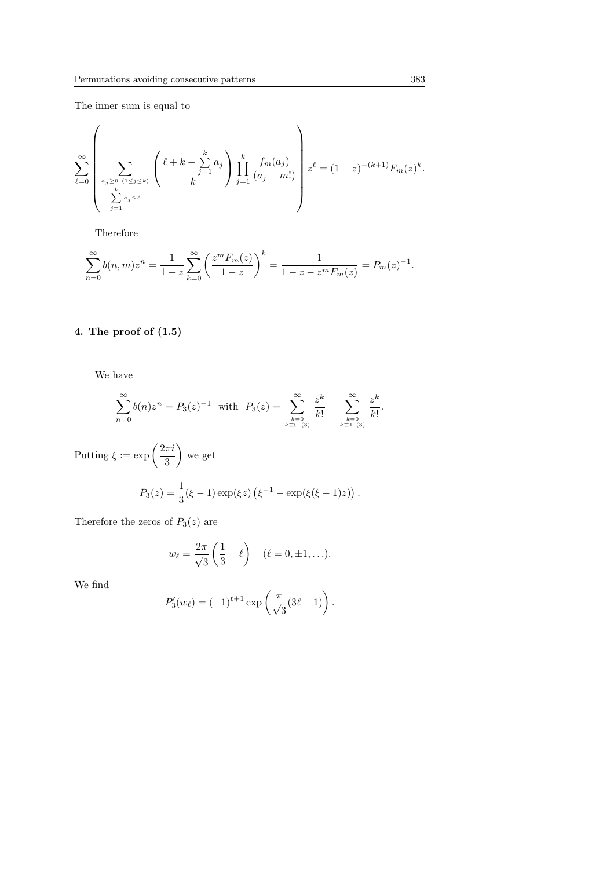The inner sum is equal to

$$
\sum_{\ell=0}^{\infty} \left( \sum_{\substack{a_j \ge 0 \ (1 \le j \le k) \\ \sum_{j=1}^k a_j \le \ell}} \left( \ell + k - \sum_{j=1}^k a_j \right) \prod_{j=1}^k \frac{f_m(a_j)}{(a_j + m!)} \right) z^{\ell} = (1-z)^{-(k+1)} F_m(z)^k.
$$

Therefore

$$
\sum_{n=0}^{\infty} b(n,m)z^n = \frac{1}{1-z} \sum_{k=0}^{\infty} \left(\frac{z^m F_m(z)}{1-z}\right)^k = \frac{1}{1-z-z^m F_m(z)} = P_m(z)^{-1}.
$$

# 4. The proof of (1.5)

We have

$$
\sum_{n=0}^{\infty} b(n) z^n = P_3(z)^{-1} \text{ with } P_3(z) = \sum_{\substack{k=0 \ k \equiv 0 \ (3)}}^{\infty} \frac{z^k}{k!} - \sum_{\substack{k=0 \ k \equiv 1 \ (3)}}^{\infty} \frac{z^k}{k!}.
$$

Putting  $\xi := \exp\left(\frac{2\pi i}{\epsilon}\right)$ 3  $\mathbf{r}$ we get

$$
P_3(z) = \frac{1}{3}(\xi - 1) \exp(\xi z) (\xi^{-1} - \exp(\xi(\xi - 1)z)).
$$

Therefore the zeros of  $P_3(z)$  are

$$
w_{\ell} = \frac{2\pi}{\sqrt{3}} \left( \frac{1}{3} - \ell \right) \quad (\ell = 0, \pm 1, \ldots).
$$

We find

$$
P_3'(w_\ell) = (-1)^{\ell+1} \exp\left(\frac{\pi}{\sqrt{3}}(3\ell - 1)\right).
$$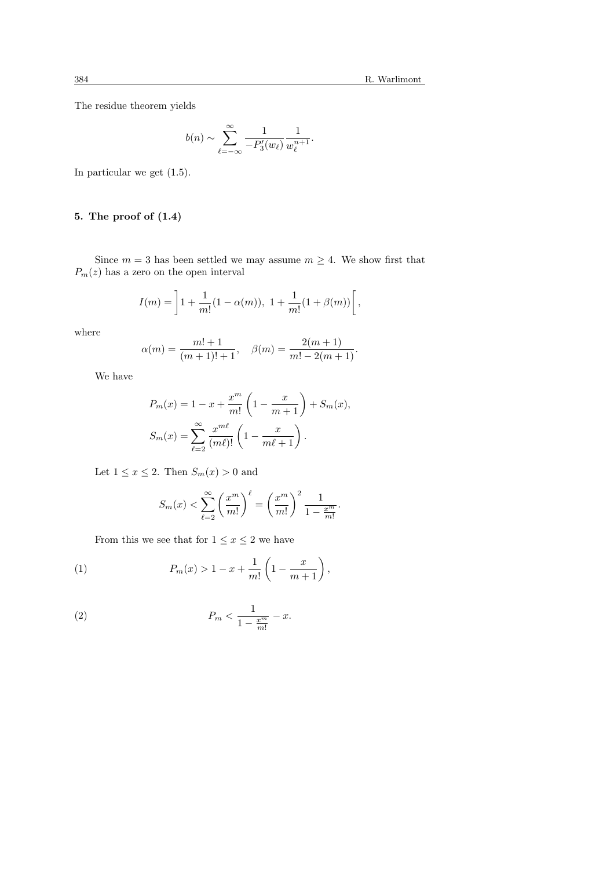The residue theorem yields

$$
b(n) \sim \sum_{\ell=-\infty}^{\infty} \frac{1}{-P_3'(w_{\ell})} \frac{1}{w_{\ell}^{n+1}}.
$$

In particular we get (1.5).

# 5. The proof of (1.4)

Since  $m = 3$  has been settled we may assume  $m \geq 4$ . We show first that  $P_m(z)$  has a zero on the open interval

$$
I(m) = \left]1 + \frac{1}{m!}(1 - \alpha(m)), \ 1 + \frac{1}{m!}(1 + \beta(m))\right[
$$

where

$$
\alpha(m) = \frac{m! + 1}{(m+1)! + 1}, \quad \beta(m) = \frac{2(m+1)}{m! - 2(m+1)}.
$$

We have

$$
P_m(x) = 1 - x + \frac{x^m}{m!} \left( 1 - \frac{x}{m+1} \right) + S_m(x),
$$
  

$$
S_m(x) = \sum_{\ell=2}^{\infty} \frac{x^{m\ell}}{(m\ell)!} \left( 1 - \frac{x}{m\ell+1} \right).
$$

Let  $1 \leq x \leq 2$ . Then  $S_m(x) > 0$  and

$$
S_m(x) < \sum_{\ell=2}^{\infty} \left(\frac{x^m}{m!}\right)^{\ell} = \left(\frac{x^m}{m!}\right)^2 \frac{1}{1 - \frac{x^m}{m!}}.
$$

From this we see that for  $1\leq x\leq 2$  we have

(1) 
$$
P_m(x) > 1 - x + \frac{1}{m!} \left( 1 - \frac{x}{m+1} \right),
$$

(2) 
$$
P_m < \frac{1}{1 - \frac{x^m}{m!}} - x.
$$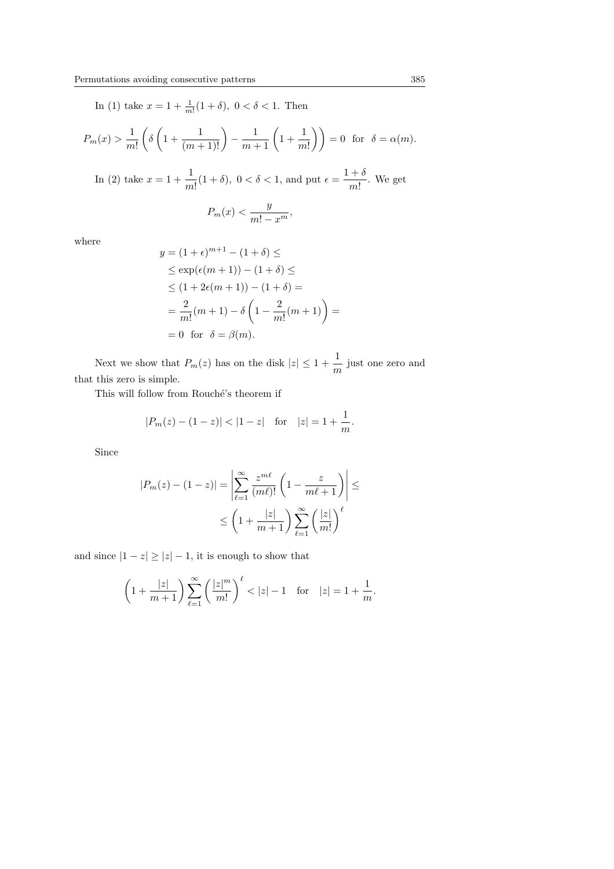In (1) take  $x = 1 + \frac{1}{m!}(1 + \delta)$ ,  $0 < \delta < 1$ . Then

$$
P_m(x) > \frac{1}{m!} \left( \delta \left( 1 + \frac{1}{(m+1)!} \right) - \frac{1}{m+1} \left( 1 + \frac{1}{m!} \right) \right) = 0 \text{ for } \delta = \alpha(m).
$$

In (2) take  $x = 1 + \frac{1}{x}$  $\frac{1}{m!}(1+\delta)$ ,  $0 < \delta < 1$ , and put  $\epsilon = \frac{1+\delta}{m!}$  $\frac{1}{m!}$ . We get

$$
P_m(x) < \frac{y}{m! - x^m},
$$

where

$$
y = (1 + \epsilon)^{m+1} - (1 + \delta) \le
$$
  
\n
$$
\le \exp(\epsilon(m+1)) - (1 + \delta) \le
$$
  
\n
$$
\le (1 + 2\epsilon(m+1)) - (1 + \delta) =
$$
  
\n
$$
= \frac{2}{m!} (m+1) - \delta \left( 1 - \frac{2}{m!} (m+1) \right) =
$$
  
\n
$$
= 0 \text{ for } \delta = \beta(m).
$$

Next we show that  $P_m(z)$  has on the disk  $|z| \leq 1 + \frac{1}{z}$  $\frac{1}{m}$  just one zero and that this zero is simple.

This will follow from Rouché's theorem if

$$
|P_m(z) - (1 - z)| < |1 - z|
$$
 for  $|z| = 1 + \frac{1}{m}$ .

Since

$$
|P_m(z) - (1 - z)| = \left| \sum_{\ell=1}^{\infty} \frac{z^{m\ell}}{(m\ell)!} \left( 1 - \frac{z}{m\ell + 1} \right) \right| \le
$$
  

$$
\le \left( 1 + \frac{|z|}{m+1} \right) \sum_{\ell=1}^{\infty} \left( \frac{|z|}{m!} \right)^{\ell}
$$

and since  $|1 - z| \ge |z| - 1$ , it is enough to show that

$$
\left(1+\frac{|z|}{m+1}\right)\sum_{\ell=1}^{\infty}\left(\frac{|z|^m}{m!}\right)^{\ell} < |z|-1 \quad \text{for} \quad |z|=1+\frac{1}{m}.
$$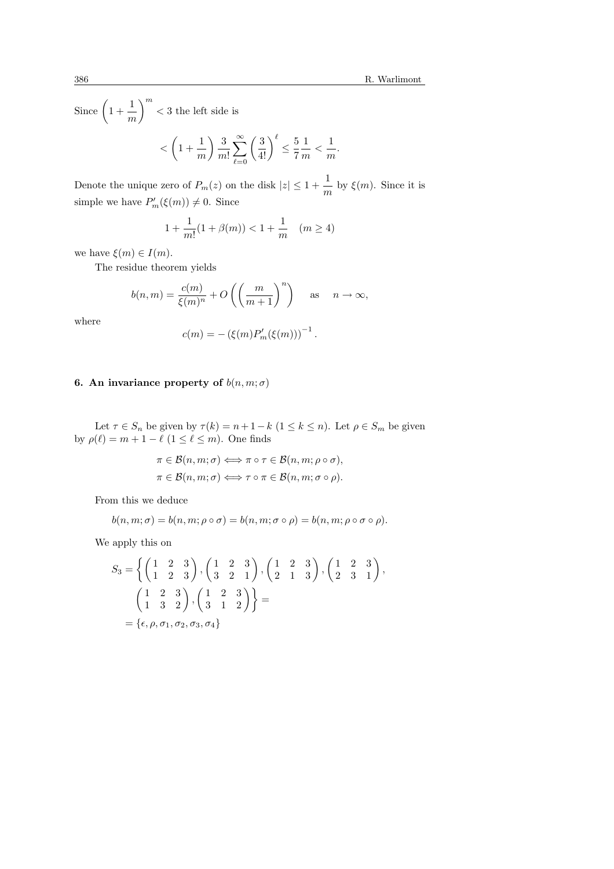1  $\frac{1}{m}$ .

Since 
$$
\left(1 + \frac{1}{m}\right)^m < 3
$$
 the left side is  

$$
< \left(1 + \frac{1}{m}\right) \frac{3}{m!} \sum_{\ell=0}^{\infty} \left(\frac{3}{4!}\right)^{\ell} \le \frac{5}{7} \frac{1}{m} <
$$

Denote the unique zero of  $P_m(z)$  on the disk  $|z| \leq 1 + \frac{1}{z}$  $\frac{1}{m}$  by  $\xi(m)$ . Since it is simple we have  $P'_m(\xi(m)) \neq 0$ . Since

$$
1 + \frac{1}{m!} (1 + \beta(m)) < 1 + \frac{1}{m} \quad (m \ge 4)
$$

we have  $\xi(m) \in I(m)$ .

The residue theorem yields

$$
b(n,m) = \frac{c(m)}{\xi(m)^n} + O\left(\left(\frac{m}{m+1}\right)^n\right) \quad \text{as} \quad n \to \infty,
$$

where

$$
c(m) = -(\xi(m)P'_m(\xi(m)))^{-1}.
$$

### 6. An invariance property of  $b(n, m; \sigma)$

Let  $\tau \in S_n$  be given by  $\tau(k) = n + 1 - k$   $(1 \leq k \leq n)$ . Let  $\rho \in S_m$  be given by  $\rho(\ell) = m + 1 - \ell \ (1 \leq \ell \leq m)$ . One finds

$$
\pi \in \mathcal{B}(n, m; \sigma) \Longleftrightarrow \pi \circ \tau \in \mathcal{B}(n, m; \rho \circ \sigma),
$$

$$
\pi \in \mathcal{B}(n, m; \sigma) \Longleftrightarrow \tau \circ \pi \in \mathcal{B}(n, m; \sigma \circ \rho).
$$

From this we deduce

$$
b(n, m; \sigma) = b(n, m; \rho \circ \sigma) = b(n, m; \sigma \circ \rho) = b(n, m; \rho \circ \sigma \circ \rho).
$$

We apply this on

$$
S_3 = \left\{ \begin{pmatrix} 1 & 2 & 3 \\ 1 & 2 & 3 \end{pmatrix}, \begin{pmatrix} 1 & 2 & 3 \\ 3 & 2 & 1 \end{pmatrix}, \begin{pmatrix} 1 & 2 & 3 \\ 2 & 1 & 3 \end{pmatrix}, \begin{pmatrix} 1 & 2 & 3 \\ 2 & 3 & 1 \end{pmatrix}, \begin{pmatrix} 1 & 2 & 3 \\ 1 & 3 & 2 \end{pmatrix}, \begin{pmatrix} 1 & 2 & 3 \\ 3 & 1 & 2 \end{pmatrix} \right\} =
$$
  
=  $\{\epsilon, \rho, \sigma_1, \sigma_2, \sigma_3, \sigma_4\}$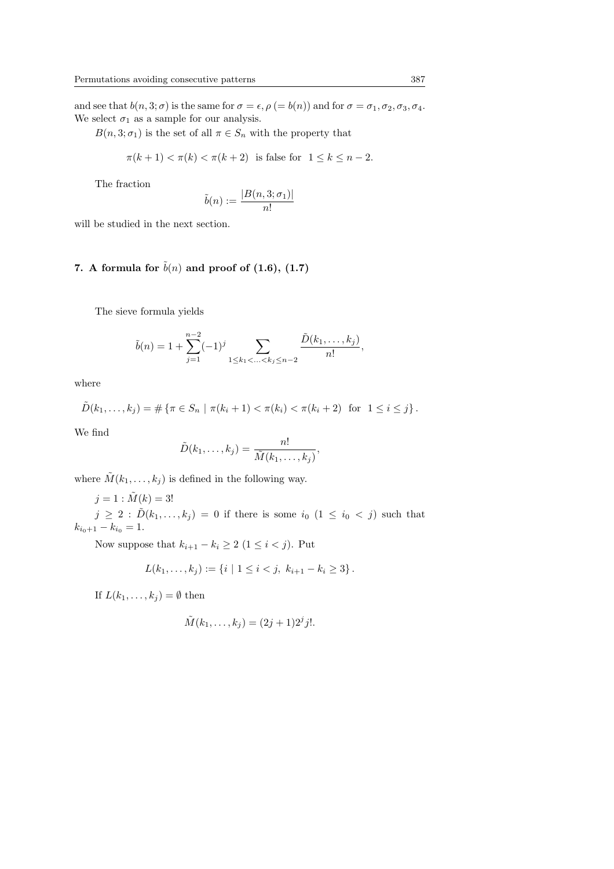and see that  $b(n, 3; \sigma)$  is the same for  $\sigma = \epsilon$ ,  $\rho (= b(n))$  and for  $\sigma = \sigma_1, \sigma_2, \sigma_3, \sigma_4$ . We select  $\sigma_1$  as a sample for our analysis.

 $B(n, 3; \sigma_1)$  is the set of all  $\pi \in S_n$  with the property that

$$
\pi(k+1) < \pi(k) < \pi(k+2) \quad \text{is false for} \quad 1 \le k \le n-2.
$$

The fraction

$$
\tilde{b}(n) := \frac{|B(n, 3; \sigma_1)|}{n!}
$$

will be studied in the next section.

## 7. A formula for  $\tilde{b}(n)$  and proof of (1.6), (1.7)

The sieve formula yields

$$
\tilde{b}(n) = 1 + \sum_{j=1}^{n-2} (-1)^j \sum_{1 \le k_1 < \ldots < k_j \le n-2} \frac{\tilde{D}(k_1, \ldots, k_j)}{n!},
$$

where

$$
\tilde{D}(k_1,\ldots,k_j) = \# \left\{ \pi \in S_n \mid \pi(k_i+1) < \pi(k_i) < \pi(k_i+2) \text{ for } 1 \leq i \leq j \right\}.
$$

We find

$$
\tilde{D}(k_1,\ldots,k_j)=\frac{n!}{\tilde{M}(k_1,\ldots,k_j)},
$$

where  $\tilde{M}(k_1,\ldots,k_j)$  is defined in the following way.

$$
j = 1 : \tilde{M}(k) = 3!
$$

 $j \geq 2$ :  $\tilde{D}(k_1,\ldots,k_j) = 0$  if there is some  $i_0$   $(1 \leq i_0 < j)$  such that  $k_{i_0+1} - k_{i_0} = 1.$ 

Now suppose that  $k_{i+1} - k_i \geq 2$  (1 ≤ i < j). Put

$$
L(k_1,\ldots,k_j) := \{i \mid 1 \leq i < j, \ k_{i+1} - k_i \geq 3\}.
$$

If  $L(k_1, \ldots, k_j) = \emptyset$  then

$$
\tilde{M}(k_1,\ldots,k_j) = (2j+1)2^j j!.
$$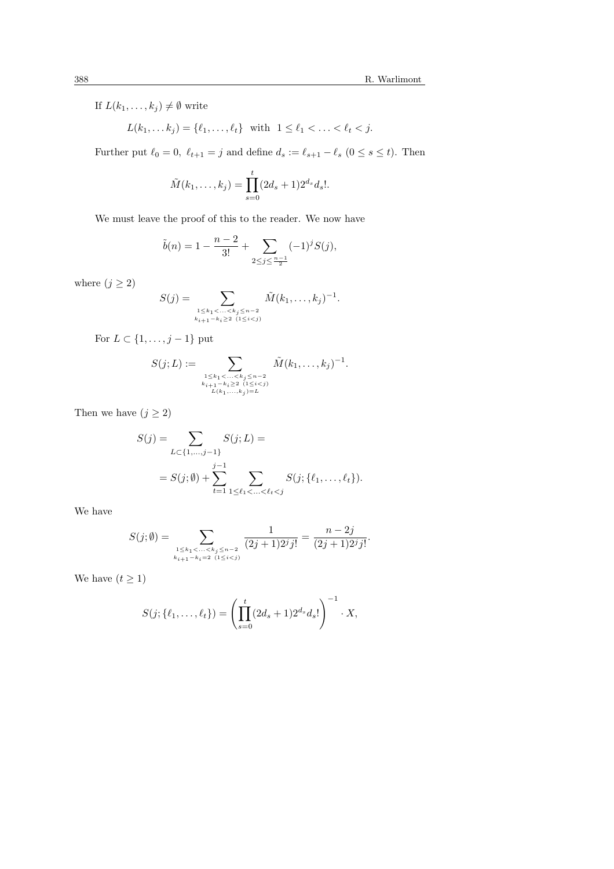If  $L(k_1, \ldots, k_j) \neq \emptyset$  write

$$
L(k_1,\ldots k_j)=\{\ell_1,\ldots,\ell_t\}\ \ \text{with}\ \ 1\leq \ell_1<\ldots<\ell_t< j.
$$

Further put  $\ell_0 = 0$ ,  $\ell_{t+1} = j$  and define  $d_s := \ell_{s+1} - \ell_s$  ( $0 \le s \le t$ ). Then

$$
\tilde{M}(k_1,\ldots,k_j) = \prod_{s=0}^t (2d_s+1)2^{d_s} d_s!.
$$

We must leave the proof of this to the reader. We now have

$$
\tilde{b}(n) = 1 - \frac{n-2}{3!} + \sum_{2 \le j \le \frac{n-1}{2}} (-1)^j S(j),
$$

where  $(j\geq 2)$ 

$$
S(j) = \sum_{\substack{1 \leq k_1 < \ldots < k_j \leq n-2 \\ k_{i+1} - k_i \geq 2 \ (1 \leq i < j)}} \tilde{M}(k_1, \ldots, k_j)^{-1}.
$$

For  $L \subset \{1, \ldots, j-1\}$  put

$$
S(j;L) := \sum_{\substack{1 \leq k_1 < \ldots < k_j \leq n-2 \\ k_{i+1}-k_i \geq 2 \ (1 \leq i < j) \\ L(k_1,\ldots,k_j) = L}} \tilde{M}(k_1,\ldots,k_j)^{-1}.
$$

Then we have  $(j\geq 2)$ 

$$
S(j) = \sum_{L \subset \{1, \ldots, j-1\}} S(j; L) =
$$
  
=  $S(j; \emptyset) + \sum_{t=1}^{j-1} \sum_{1 \le \ell_1 < \ldots < \ell_t < j} S(j; \{\ell_1, \ldots, \ell_t\}).$ 

We have

$$
S(j; \emptyset) = \sum_{\substack{1 \le k_1 < \ldots < k_j \le n-2 \\ k_{i+1} - k_i = 2 \ (1 \le i < j)}} \frac{1}{(2j+1)2^j j!} = \frac{n-2j}{(2j+1)2^j j!}.
$$

We have  $(t \geq 1)$ 

$$
S(j; \{\ell_1, \ldots, \ell_t\}) = \left(\prod_{s=0}^t (2d_s + 1)2^{d_s} d_s!\right)^{-1} \cdot X,
$$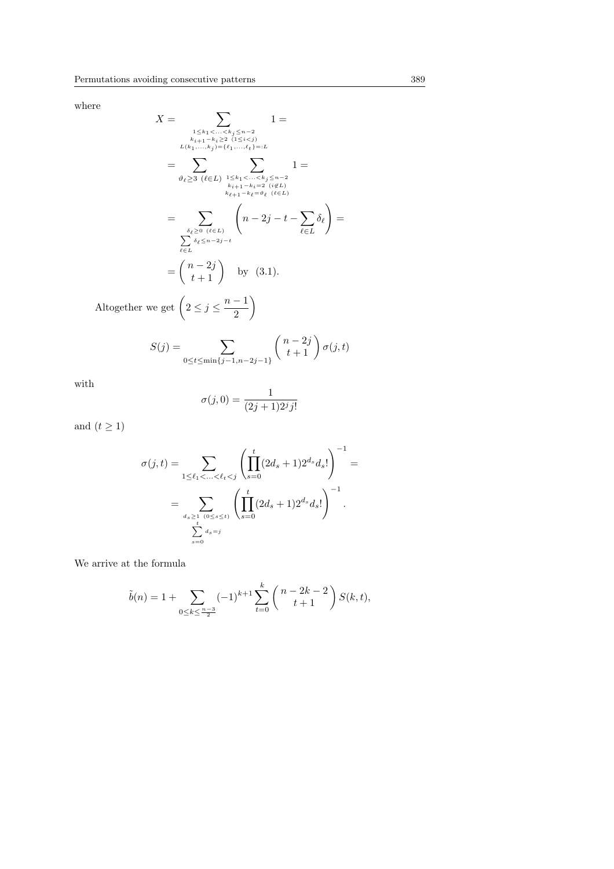where

$$
X = \sum_{\substack{1 \le k_1 < \ldots < k_j \le n-2 \\ k_{i+1}-k_i \ge 2 \\ L(k_1,\ldots,k_j)=(\ell_1,\ldots,\ell_t)=:L}} 1 = \sum_{\substack{1 \le k_1 < \ldots < k_j \le n-2 \\ k_{i+1}-k_i \ge 2 \\ k_{i+1}-k_i \ge 2 \\ k_{i+1}-k_i \ge 2 \\ k_{i+1}-k_i \ge 2 \\ k_{i+1}-k_i \ge 2 \\ k_{i+1}-k_i \ge 2 \\ k_{i+1}-k_i \ge 2 \\ k_{i+1}-k_i \ge 2 \\ k_{i+1}-k_i \ge 2 \\ k_{i+1}-k_i \ge 2 \\ k_{i+1}-k_i \ge 2 \\ k_{i+1}-k_i \ge 2 \\ k_{i+1}-k_i \ge 2 \\ k_{i+1}-k_i \ge 2 \\ k_{i+1}-k_i \ge 2 \\ k_{i+1}-k_i \ge 2 \\ k_{i+1}-k_i \ge 2 \\ k_{i+1}-k_i \ge 2 \\ k_{i+1}-k_i \ge 2 \\ k_{i+1}-k_i \ge 2 \\ k_{i+1}-k_i \ge 2 \\ k_{i+1}-k_i \ge 2 \\ k_{i+1}-k_i \ge 2 \\ k_{i+1}-k_i \ge 2 \\ k_{i+1}-k_i \ge 2 \\ k_{i+1}-k_i \ge 2 \\ k_{i+1}-k_i \ge 2 \\ k_{i+1}-k_i \ge 2 \\ k_{i+1}-k_i \ge 2 \\ k_{i+1}-k_i \ge 2 \\ k_{i+1}-k_i \ge 2 \\ k_{i+1}-k_i \ge 2 \\ k_{i+1}-k_i \ge 2 \\ k_{i+1}-k_i \ge 2 \\ k_{i+1}-k_i \ge 2 \\ k_{i+1}-k_i \ge 2 \\ k_{i+1}-k_i \ge 2 \\ k_{i+1}-k_i \ge 2 \\ k_{i+1}-k_i \ge 2 \\ k_{i+1}-k_i \ge 2 \\ k_{i+1}-k_i \ge 2 \\ k_{i+1}-k_i \ge 2 \\ k_{i+1}-k_i \ge 2 \\ k_{i+1}-k_i \ge 2 \\ k_{i+1}-k_i \ge 2 \\ k_{i+1}-k_i \ge 2 \\ k_{i+1}-k_i \ge 2 \\ k_{i+1}-k_i \ge 2 \\ k_{i+1}-k_i \ge 2 \\ k_{i+1}-k_i \ge 2 \\ k_{i+1}-k
$$

2

$$
S(j) = \sum_{0 \le t \le \min\{j-1, n-2j-1\}} \binom{n-2j}{t+1} \sigma(j, t)
$$

with

$$
\sigma(j,0) = \frac{1}{(2j+1)2^j j!}
$$

and  $(t \geq 1)$ 

$$
\sigma(j,t) = \sum_{1 \le \ell_1 < \ldots < \ell_t < j} \left( \prod_{s=0}^t (2d_s + 1) 2^{d_s} d_s! \right)^{-1} =
$$
  
= 
$$
\sum_{d_s \ge 1 \atop \sum_{s=0}^t d_s = j} \left( \prod_{s=0}^t (2d_s + 1) 2^{d_s} d_s! \right)^{-1}.
$$

We arrive at the formula

$$
\tilde{b}(n) = 1 + \sum_{0 \le k \le \frac{n-3}{2}} (-1)^{k+1} \sum_{t=0}^{k} {n-2k-2 \choose t+1} S(k,t),
$$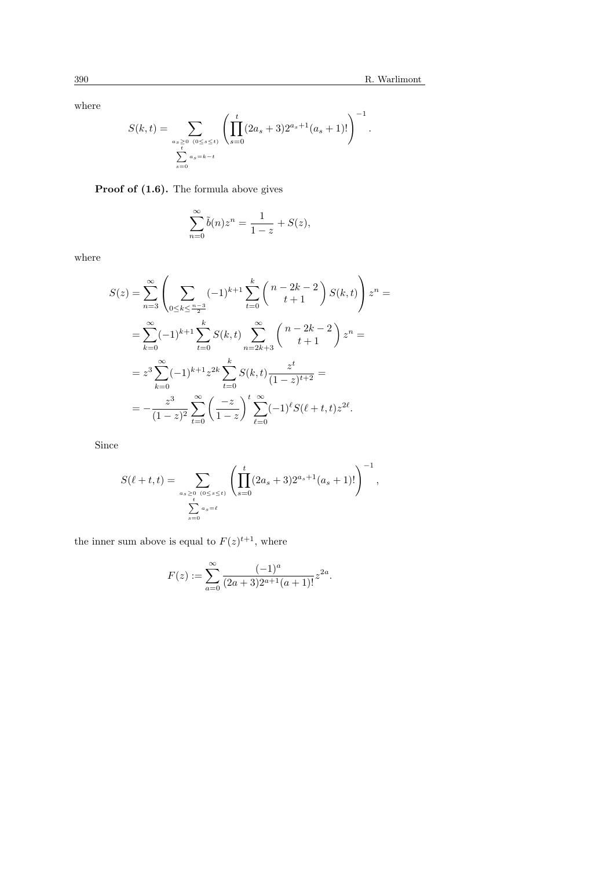where

$$
S(k,t) = \sum_{\substack{a_s \ge 0 \ (0 \le s \le t)}} \left( \prod_{s=0}^t (2a_s + 3) 2^{a_s + 1} (a_s + 1)! \right)^{-1}.
$$
  

$$
\sum_{s=0}^t \sum_{a_s = k-t}^{a_s = k-t}
$$

Proof of  $(1.6)$ . The formula above gives

$$
\sum_{n=0}^{\infty} \tilde{b}(n) z^n = \frac{1}{1-z} + S(z),
$$

where

$$
S(z) = \sum_{n=3}^{\infty} \left( \sum_{0 \le k \le \frac{n-3}{2}} (-1)^{k+1} \sum_{t=0}^{k} {n-2k-2 \choose t+1} S(k,t) \right) z^n =
$$
  

$$
= \sum_{k=0}^{\infty} (-1)^{k+1} \sum_{t=0}^{k} S(k,t) \sum_{n=2k+3}^{\infty} {n-2k-2 \choose t+1} z^n =
$$
  

$$
= z^3 \sum_{k=0}^{\infty} (-1)^{k+1} z^{2k} \sum_{t=0}^{k} S(k,t) \frac{z^t}{(1-z)^{t+2}} =
$$
  

$$
= -\frac{z^3}{(1-z)^2} \sum_{t=0}^{\infty} \left( \frac{-z}{1-z} \right)^t \sum_{\ell=0}^{\infty} (-1)^{\ell} S(\ell+t,t) z^{2\ell}.
$$

Since

$$
S(\ell+t,t) = \sum_{\substack{a_s \ge 0 \ (0 \le s \le t)}} \left( \prod_{s=0}^t (2a_s + 3) 2^{a_s+1} (a_s + 1)! \right)^{-1},
$$
  

$$
\sum_{s=0}^t a_s = \ell
$$

the inner sum above is equal to  $F(z)^{t+1}$ , where

$$
F(z) := \sum_{a=0}^{\infty} \frac{(-1)^a}{(2a+3)2^{a+1}(a+1)!} z^{2a}.
$$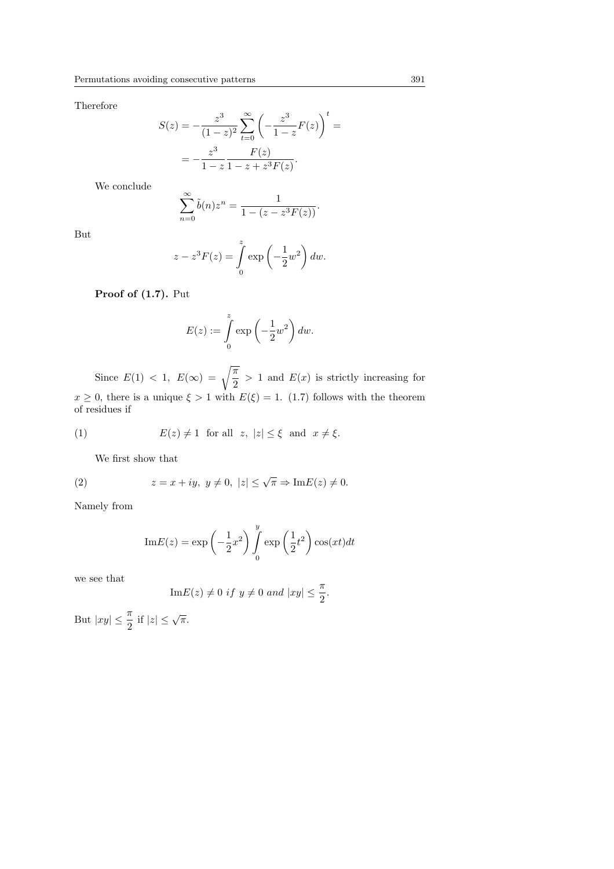Therefore

$$
S(z) = -\frac{z^3}{(1-z)^2} \sum_{t=0}^{\infty} \left( -\frac{z^3}{1-z} F(z) \right)^t =
$$
  
=  $-\frac{z^3}{1-z} \frac{F(z)}{1-z+z^3} F(z).$ 

We conclude

$$
\sum_{n=0}^{\infty} \tilde{b}(n) z^n = \frac{1}{1 - (z - z^3 F(z))}.
$$

But

$$
z - z3 F(z) = \int_{0}^{z} \exp\left(-\frac{1}{2}w^{2}\right) dw.
$$

Proof of 
$$
(1.7)
$$
. Put

$$
E(z) := \int_{0}^{z} \exp\left(-\frac{1}{2}w^2\right) dw.
$$

Since  $E(1) < 1$ ,  $E(\infty) = \sqrt{\frac{\pi}{2}} > 1$  and  $E(x)$  is strictly increasing for  $x \geq 0$ , there is a unique  $\xi > 1$  with  $E(\xi) = 1$ . (1.7) follows with the theorem of residues if

(1) 
$$
E(z) \neq 1
$$
 for all  $z, |z| \leq \xi$  and  $x \neq \xi$ .

We first show that

(2) 
$$
z = x + iy, \ y \neq 0, \ |z| \leq \sqrt{\pi} \Rightarrow \text{Im} E(z) \neq 0.
$$

Namely from

$$
\mathrm{Im}E(z) = \exp\left(-\frac{1}{2}x^2\right) \int_0^y \exp\left(\frac{1}{2}t^2\right) \cos(xt)dt
$$

we see that

Im
$$
E(z) \neq 0
$$
 if  $y \neq 0$  and  $|xy| \leq \frac{\pi}{2}$ .

But  $|xy| \leq \frac{\pi}{2}$  if  $|z| \leq \sqrt{\pi}$ .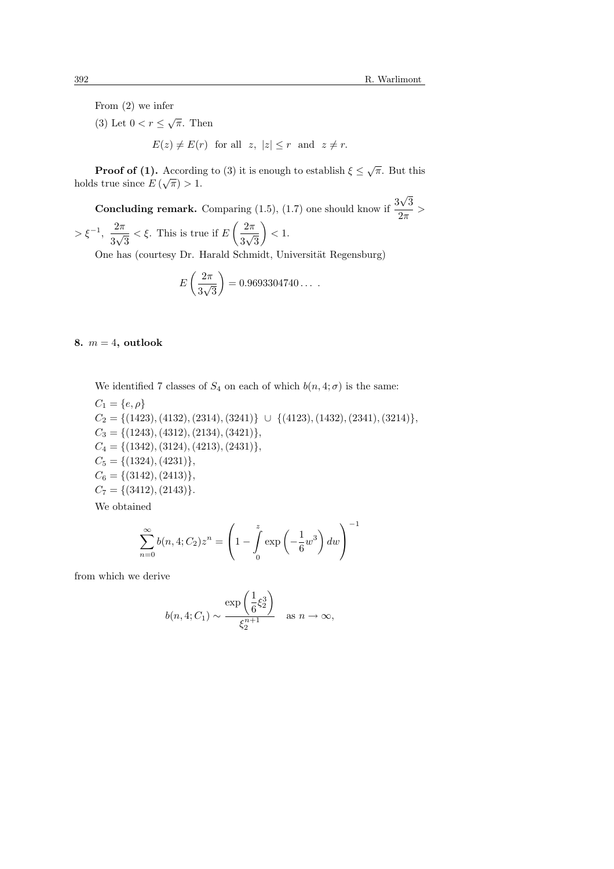From (2) we infer

(3) Let  $0 < r \leq \sqrt{\pi}$ . Then  $E(z) \neq E(r)$  for all  $z, |z| \leq r$  and  $z \neq r$ .

**Proof of (1).** According to (3) it is enough to establish  $\xi \leq \sqrt{\pi}$ . But this holds true since  $E(\sqrt{\pi}) > 1$ .

**Concluding remark.** Comparing (1.5), (1.7) one should know if  $\frac{3}{4}$ √ 3  $\frac{1}{2\pi}$  >  $> \xi^{-1}, \frac{2\pi}{\pi}$ 3 √  $\frac{1}{3} < \xi$ . This is true if  $E\left(\frac{2\pi}{3\sqrt{\xi}}\right)$  $\frac{1}{2}$ 3 √  $\frac{1}{3}$  / < 1.

One has (courtesy Dr. Harald Schmidt, Universität Regensburg)

$$
E\left(\frac{2\pi}{3\sqrt{3}}\right) = 0.9693304740\dots
$$

8.  $m = 4$ , outlook

We identified 7 classes of  $S_4$  on each of which  $b(n, 4; \sigma)$  is the same:  $C_1 = \{e, \rho\}$  $C_2 = \{(1423), (4132), (2314), (3241)\}\cup \{(4123), (1432), (2341), (3214)\},\$  $C_3 = \{(1243), (4312), (2134), (3421)\},\$  $C_4 = \{(1342), (3124), (4213), (2431)\},\$  $C_5 = \{(1324), (4231)\},\$  $C_6 = \{(3142), (2413)\},\$  $C_7 = \{(3412), (2143)\}.$ 

We obtained

$$
\sum_{n=0}^{\infty} b(n, 4; C_2) z^n = \left( 1 - \int_{0}^{z} \exp\left(-\frac{1}{6}w^3\right) dw \right)^{-1}
$$

from which we derive

$$
b(n,4;C_1) \sim \frac{\exp\left(\frac{1}{6}\xi_2^3\right)}{\xi_2^{n+1}} \quad \text{as } n \to \infty,
$$